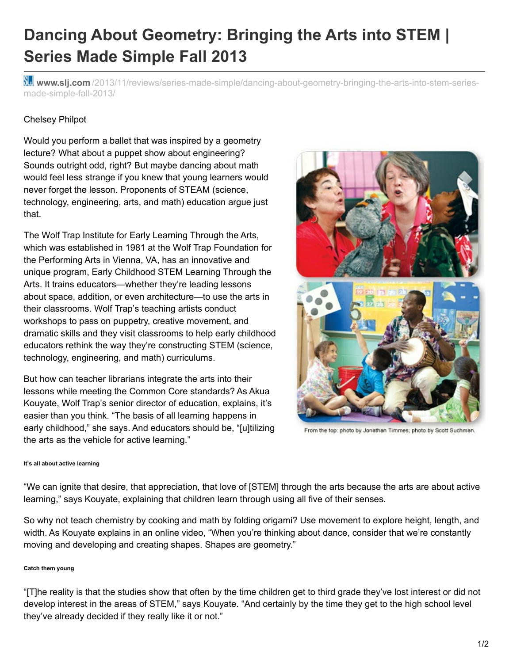# **Dancing About Geometry: Bringing the Arts into STEM | Series Made Simple Fall 2013**

**Www.slj.com** [/2013/11/reviews/series-made-simple/dancing-about-geometry-bringing-the-arts-into-stem-series](http://www.slj.com/2013/11/reviews/series-made-simple/dancing-about-geometry-bringing-the-arts-into-stem-series-made-simple-fall-2013/)made-simple-fall-2013/

## Chelsey Philpot

Would you perform a ballet that was inspired by a geometry lecture? What about a puppet show about engineering? Sounds outright odd, right? But maybe dancing about math would feel less strange if you knew that young learners would never forget the lesson. Proponents of STEAM (science, technology, engineering, arts, and math) education argue just that.

The Wolf Trap Institute for Early Learning Through the Arts, which was established in 1981 at the Wolf Trap Foundation for the Performing Arts in Vienna, VA, has an innovative and unique program, Early Childhood STEM Learning Through the Arts. It trains educators—whether they're leading lessons about space, addition, or even architecture—to use the arts in their classrooms. Wolf Trap's teaching artists conduct workshops to pass on puppetry, creative movement, and dramatic skills and they visit classrooms to help early childhood educators rethink the way they're constructing STEM (science, technology, engineering, and math) curriculums.

But how can teacher librarians integrate the arts into their lessons while meeting the Common Core standards? As Akua Kouyate, Wolf Trap's senior director of education, explains, it's easier than you think. "The basis of all learning happens in early childhood," she says. And educators should be, "[u]tilizing the arts as the vehicle for active learning."



From the top: photo by Jonathan Timmes; photo by Scott Suchman.

#### **It's all about active learning**

"We can ignite that desire, that appreciation, that love of [STEM] through the arts because the arts are about active learning," says Kouyate, explaining that children learn through using all five of their senses.

So why not teach chemistry by cooking and math by folding origami? Use movement to explore height, length, and width. As Kouyate explains in an online video, "When you're thinking about dance, consider that we're constantly moving and developing and creating shapes. Shapes are geometry."

#### **Catch them young**

"[T]he reality is that the studies show that often by the time children get to third grade they've lost interest or did not develop interest in the areas of STEM," says Kouyate. "And certainly by the time they get to the high school level they've already decided if they really like it or not."